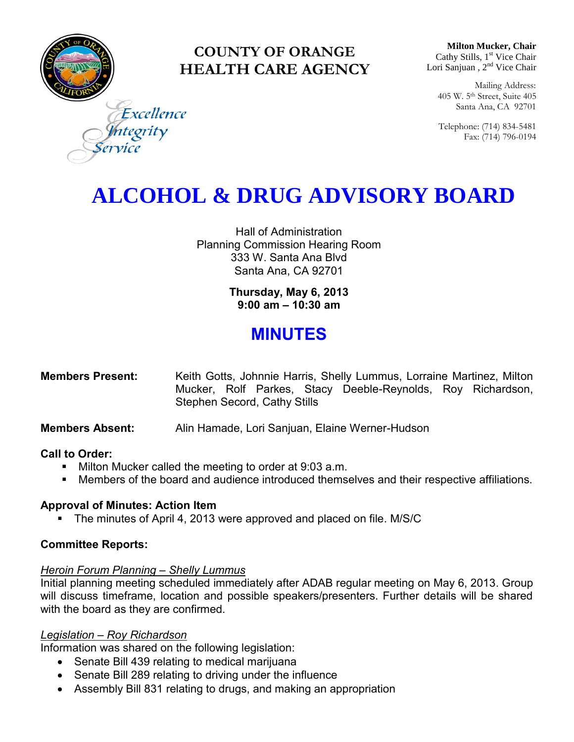

## **COUNTY OF ORANGE HEALTH CARE AGENCY**

**Milton Mucker, Chair** Cathy Stills, 1<sup>st</sup> Vice Chair Lori Sanjuan, 2<sup>nd</sup> Vice Chair

Mailing Address: 405 W. 5th Street, Suite 405 Santa Ana, CA 92701

Telephone: (714) 834-5481 Fax: (714) 796-0194

Excellence tegrity

# **ALCOHOL & DRUG ADVISORY BOARD**

Hall of Administration Planning Commission Hearing Room 333 W. Santa Ana Blvd Santa Ana, CA 92701

> **Thursday, May 6, 2013 9:00 am – 10:30 am**

## **MINUTES**

| <b>Members Present:</b> | Keith Gotts, Johnnie Harris, Shelly Lummus, Lorraine Martinez, Milton |  |  |  |                                                             |  |  |
|-------------------------|-----------------------------------------------------------------------|--|--|--|-------------------------------------------------------------|--|--|
|                         |                                                                       |  |  |  | Mucker, Rolf Parkes, Stacy Deeble-Reynolds, Roy Richardson, |  |  |
|                         | Stephen Secord, Cathy Stills                                          |  |  |  |                                                             |  |  |

**Members Absent:** Alin Hamade, Lori Sanjuan, Elaine Werner-Hudson

### **Call to Order:**

- **Milton Mucker called the meeting to order at 9:03 a.m.**
- Members of the board and audience introduced themselves and their respective affiliations.

### **Approval of Minutes: Action Item**

• The minutes of April 4, 2013 were approved and placed on file. M/S/C

### **Committee Reports:**

### *Heroin Forum Planning – Shelly Lummus*

Initial planning meeting scheduled immediately after ADAB regular meeting on May 6, 2013. Group will discuss timeframe, location and possible speakers/presenters. Further details will be shared with the board as they are confirmed.

### *Legislation – Roy Richardson*

Information was shared on the following legislation:

- Senate Bill 439 relating to medical marijuana
- Senate Bill 289 relating to driving under the influence
- Assembly Bill 831 relating to drugs, and making an appropriation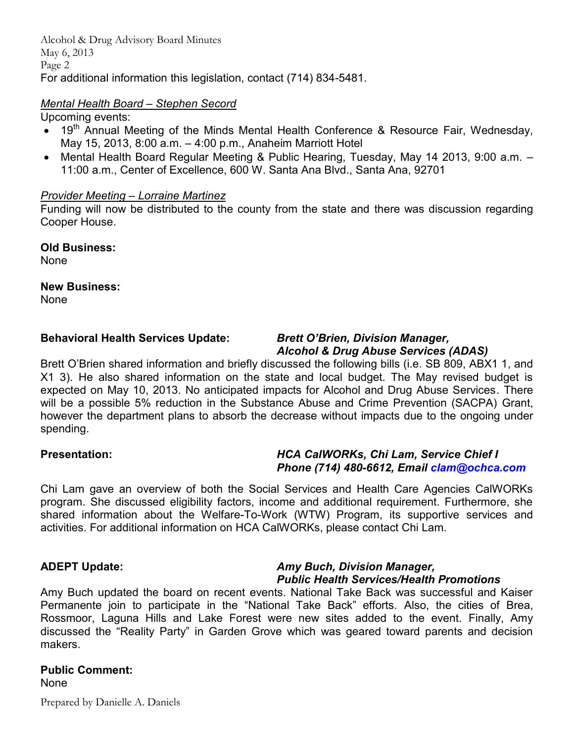Alcohol & Drug Advisory Board Minutes May 6, 2013 Page 2 For additional information this legislation, contact (714) 834-5481.

#### *Mental Health Board – Stephen Secord*

#### Upcoming events:

- $\bullet$  19<sup>th</sup> Annual Meeting of the Minds Mental Health Conference & Resource Fair, Wednesday, May 15, 2013, 8:00 a.m. – 4:00 p.m., Anaheim Marriott Hotel
- Mental Health Board Regular Meeting & Public Hearing, Tuesday, May 14 2013, 9:00 a.m. 11:00 a.m., Center of Excellence, 600 W. Santa Ana Blvd., Santa Ana, 92701

#### *Provider Meeting – Lorraine Martinez*

Funding will now be distributed to the county from the state and there was discussion regarding Cooper House.

**Old Business:** 

None

#### **New Business:**

None

### **Behavioral Health Services Update:** *Brett O'Brien, Division Manager,*

# *Alcohol & Drug Abuse Services (ADAS)*

Brett O'Brien shared information and briefly discussed the following bills (i.e. SB 809, ABX1 1, and X1 3). He also shared information on the state and local budget. The May revised budget is expected on May 10, 2013. No anticipated impacts for Alcohol and Drug Abuse Services. There will be a possible 5% reduction in the Substance Abuse and Crime Prevention (SACPA) Grant, however the department plans to absorb the decrease without impacts due to the ongoing under spending.

#### **Presentation:** *HCA CalWORKs, Chi Lam, Service Chief I Phone (714) 480-6612, Email [clam@ochca.com](mailto:clam@ochca.com)*

Chi Lam gave an overview of both the Social Services and Health Care Agencies CalWORKs program. She discussed eligibility factors, income and additional requirement. Furthermore, she shared information about the Welfare-To-Work (WTW) Program, its supportive services and activities. For additional information on HCA CalWORKs, please contact Chi Lam.

#### **ADEPT Update:** *Amy Buch, Division Manager, Public Health Services/Health Promotions*

Amy Buch updated the board on recent events. National Take Back was successful and Kaiser Permanente join to participate in the "National Take Back" efforts. Also, the cities of Brea, Rossmoor, Laguna Hills and Lake Forest were new sites added to the event. Finally, Amy discussed the "Reality Party" in Garden Grove which was geared toward parents and decision makers.

## **Public Comment:**

None

Prepared by Danielle A. Daniels